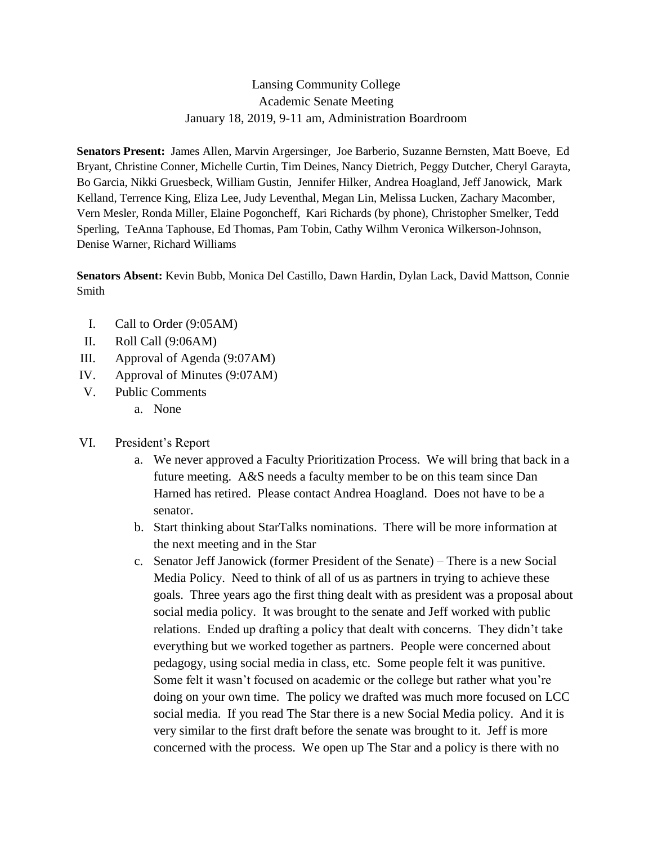## Lansing Community College Academic Senate Meeting January 18, 2019, 9-11 am, Administration Boardroom

**Senators Present:** James Allen, Marvin Argersinger, Joe Barberio, Suzanne Bernsten, Matt Boeve, Ed Bryant, Christine Conner, Michelle Curtin, Tim Deines, Nancy Dietrich, Peggy Dutcher, Cheryl Garayta, Bo Garcia, Nikki Gruesbeck, William Gustin, Jennifer Hilker, Andrea Hoagland, Jeff Janowick, Mark Kelland, Terrence King, Eliza Lee, Judy Leventhal, Megan Lin, Melissa Lucken, Zachary Macomber, Vern Mesler, Ronda Miller, Elaine Pogoncheff, Kari Richards (by phone), Christopher Smelker, Tedd Sperling, TeAnna Taphouse, Ed Thomas, Pam Tobin, Cathy Wilhm Veronica Wilkerson-Johnson, Denise Warner, Richard Williams

**Senators Absent:** Kevin Bubb, Monica Del Castillo, Dawn Hardin, Dylan Lack, David Mattson, Connie Smith

- I. Call to Order (9:05AM)
- II. Roll Call (9:06AM)
- III. Approval of Agenda (9:07AM)
- IV. Approval of Minutes (9:07AM)
- V. Public Comments
	- a. None
- VI. President's Report
	- a. We never approved a Faculty Prioritization Process. We will bring that back in a future meeting. A&S needs a faculty member to be on this team since Dan Harned has retired. Please contact Andrea Hoagland. Does not have to be a senator.
	- b. Start thinking about StarTalks nominations. There will be more information at the next meeting and in the Star
	- c. Senator Jeff Janowick (former President of the Senate) There is a new Social Media Policy. Need to think of all of us as partners in trying to achieve these goals. Three years ago the first thing dealt with as president was a proposal about social media policy. It was brought to the senate and Jeff worked with public relations. Ended up drafting a policy that dealt with concerns. They didn't take everything but we worked together as partners. People were concerned about pedagogy, using social media in class, etc. Some people felt it was punitive. Some felt it wasn't focused on academic or the college but rather what you're doing on your own time. The policy we drafted was much more focused on LCC social media. If you read The Star there is a new Social Media policy. And it is very similar to the first draft before the senate was brought to it. Jeff is more concerned with the process. We open up The Star and a policy is there with no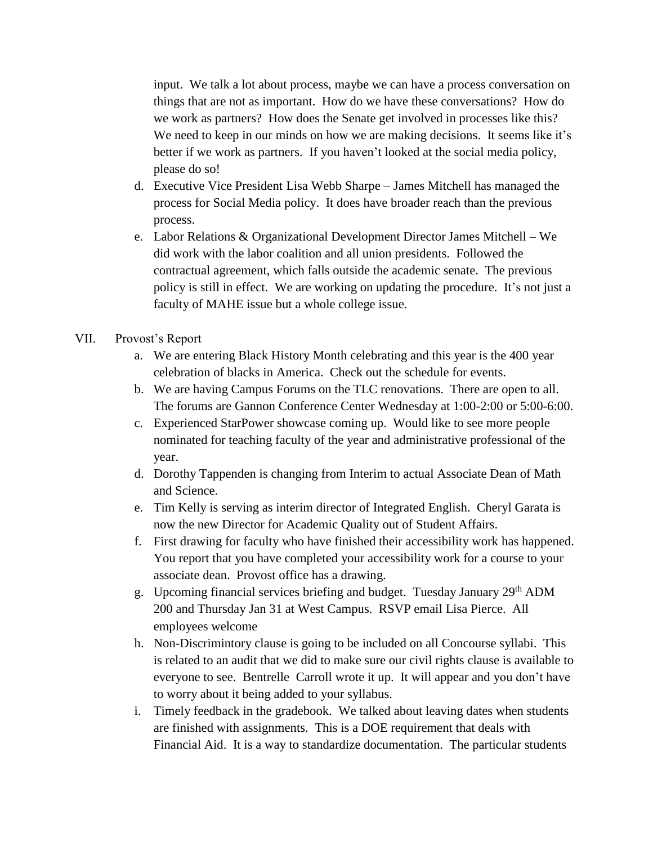input. We talk a lot about process, maybe we can have a process conversation on things that are not as important. How do we have these conversations? How do we work as partners? How does the Senate get involved in processes like this? We need to keep in our minds on how we are making decisions. It seems like it's better if we work as partners. If you haven't looked at the social media policy, please do so!

- d. Executive Vice President Lisa Webb Sharpe James Mitchell has managed the process for Social Media policy. It does have broader reach than the previous process.
- e. Labor Relations & Organizational Development Director James Mitchell We did work with the labor coalition and all union presidents. Followed the contractual agreement, which falls outside the academic senate. The previous policy is still in effect. We are working on updating the procedure. It's not just a faculty of MAHE issue but a whole college issue.
- VII. Provost's Report
	- a. We are entering Black History Month celebrating and this year is the 400 year celebration of blacks in America. Check out the schedule for events.
	- b. We are having Campus Forums on the TLC renovations. There are open to all. The forums are Gannon Conference Center Wednesday at 1:00-2:00 or 5:00-6:00.
	- c. Experienced StarPower showcase coming up. Would like to see more people nominated for teaching faculty of the year and administrative professional of the year.
	- d. Dorothy Tappenden is changing from Interim to actual Associate Dean of Math and Science.
	- e. Tim Kelly is serving as interim director of Integrated English. Cheryl Garata is now the new Director for Academic Quality out of Student Affairs.
	- f. First drawing for faculty who have finished their accessibility work has happened. You report that you have completed your accessibility work for a course to your associate dean. Provost office has a drawing.
	- g. Upcoming financial services briefing and budget. Tuesday January 29<sup>th</sup> ADM 200 and Thursday Jan 31 at West Campus. RSVP email Lisa Pierce. All employees welcome
	- h. Non-Discrimintory clause is going to be included on all Concourse syllabi. This is related to an audit that we did to make sure our civil rights clause is available to everyone to see. Bentrelle Carroll wrote it up. It will appear and you don't have to worry about it being added to your syllabus.
	- i. Timely feedback in the gradebook. We talked about leaving dates when students are finished with assignments. This is a DOE requirement that deals with Financial Aid. It is a way to standardize documentation. The particular students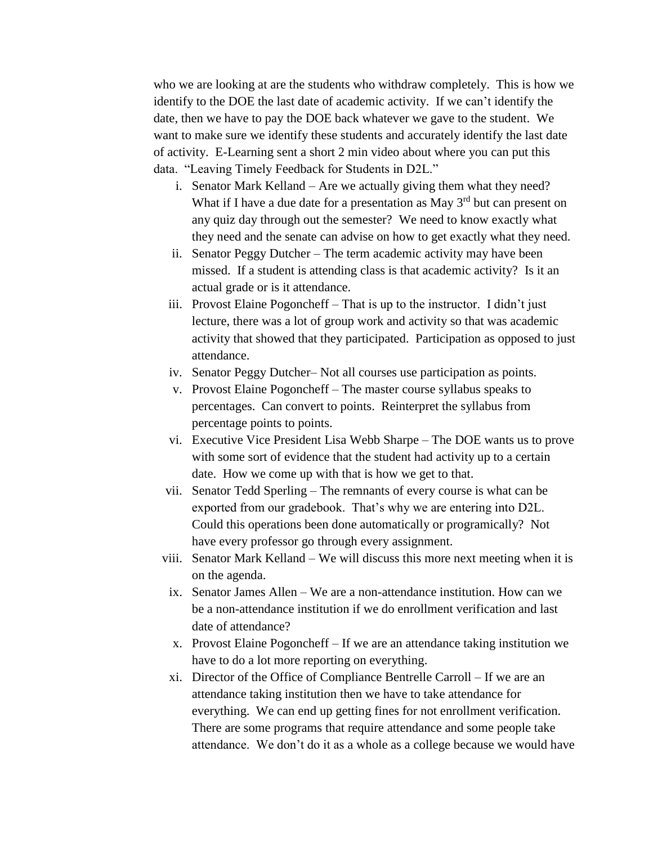who we are looking at are the students who withdraw completely. This is how we identify to the DOE the last date of academic activity. If we can't identify the date, then we have to pay the DOE back whatever we gave to the student. We want to make sure we identify these students and accurately identify the last date of activity. E-Learning sent a short 2 min video about where you can put this data. "Leaving Timely Feedback for Students in D2L."

- i. Senator Mark Kelland Are we actually giving them what they need? What if I have a due date for a presentation as May  $3<sup>rd</sup>$  but can present on any quiz day through out the semester? We need to know exactly what they need and the senate can advise on how to get exactly what they need.
- ii. Senator Peggy Dutcher The term academic activity may have been missed. If a student is attending class is that academic activity? Is it an actual grade or is it attendance.
- iii. Provost Elaine Pogoncheff That is up to the instructor. I didn't just lecture, there was a lot of group work and activity so that was academic activity that showed that they participated. Participation as opposed to just attendance.
- iv. Senator Peggy Dutcher– Not all courses use participation as points.
- v. Provost Elaine Pogoncheff The master course syllabus speaks to percentages. Can convert to points. Reinterpret the syllabus from percentage points to points.
- vi. Executive Vice President Lisa Webb Sharpe The DOE wants us to prove with some sort of evidence that the student had activity up to a certain date. How we come up with that is how we get to that.
- vii. Senator Tedd Sperling The remnants of every course is what can be exported from our gradebook. That's why we are entering into D2L. Could this operations been done automatically or programically? Not have every professor go through every assignment.
- viii. Senator Mark Kelland We will discuss this more next meeting when it is on the agenda.
	- ix. Senator James Allen We are a non-attendance institution. How can we be a non-attendance institution if we do enrollment verification and last date of attendance?
	- x. Provost Elaine Pogoncheff If we are an attendance taking institution we have to do a lot more reporting on everything.
	- xi. Director of the Office of Compliance Bentrelle Carroll If we are an attendance taking institution then we have to take attendance for everything. We can end up getting fines for not enrollment verification. There are some programs that require attendance and some people take attendance. We don't do it as a whole as a college because we would have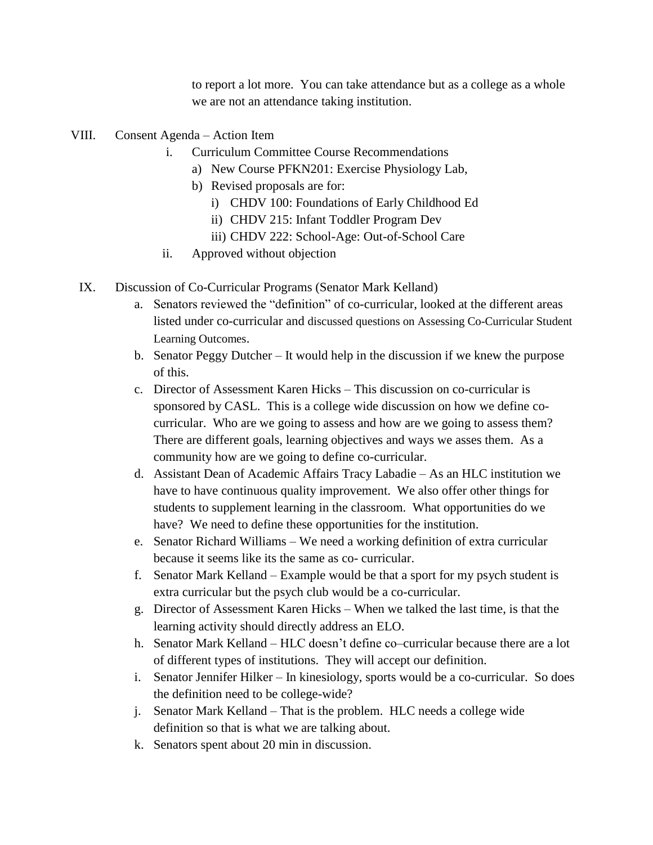to report a lot more. You can take attendance but as a college as a whole we are not an attendance taking institution.

- VIII. Consent Agenda Action Item
	- i. Curriculum Committee Course Recommendations
		- a) New Course PFKN201: Exercise Physiology Lab,
		- b) Revised proposals are for:
			- i) CHDV 100: Foundations of Early Childhood Ed
			- ii) CHDV 215: Infant Toddler Program Dev
			- iii) CHDV 222: School-Age: Out-of-School Care
	- ii. Approved without objection
	- IX. Discussion of Co-Curricular Programs (Senator Mark Kelland)
		- a. Senators reviewed the "definition" of co-curricular, looked at the different areas listed under co-curricular and discussed questions on Assessing Co-Curricular Student Learning Outcomes.
		- b. Senator Peggy Dutcher It would help in the discussion if we knew the purpose of this.
		- c. Director of Assessment Karen Hicks This discussion on co-curricular is sponsored by CASL. This is a college wide discussion on how we define cocurricular. Who are we going to assess and how are we going to assess them? There are different goals, learning objectives and ways we asses them. As a community how are we going to define co-curricular.
		- d. Assistant Dean of Academic Affairs Tracy Labadie As an HLC institution we have to have continuous quality improvement. We also offer other things for students to supplement learning in the classroom. What opportunities do we have? We need to define these opportunities for the institution.
		- e. Senator Richard Williams We need a working definition of extra curricular because it seems like its the same as co- curricular.
		- f. Senator Mark Kelland Example would be that a sport for my psych student is extra curricular but the psych club would be a co-curricular.
		- g. Director of Assessment Karen Hicks When we talked the last time, is that the learning activity should directly address an ELO.
		- h. Senator Mark Kelland HLC doesn't define co–curricular because there are a lot of different types of institutions. They will accept our definition.
		- i. Senator Jennifer Hilker In kinesiology, sports would be a co-curricular. So does the definition need to be college-wide?
		- j. Senator Mark Kelland That is the problem. HLC needs a college wide definition so that is what we are talking about.
		- k. Senators spent about 20 min in discussion.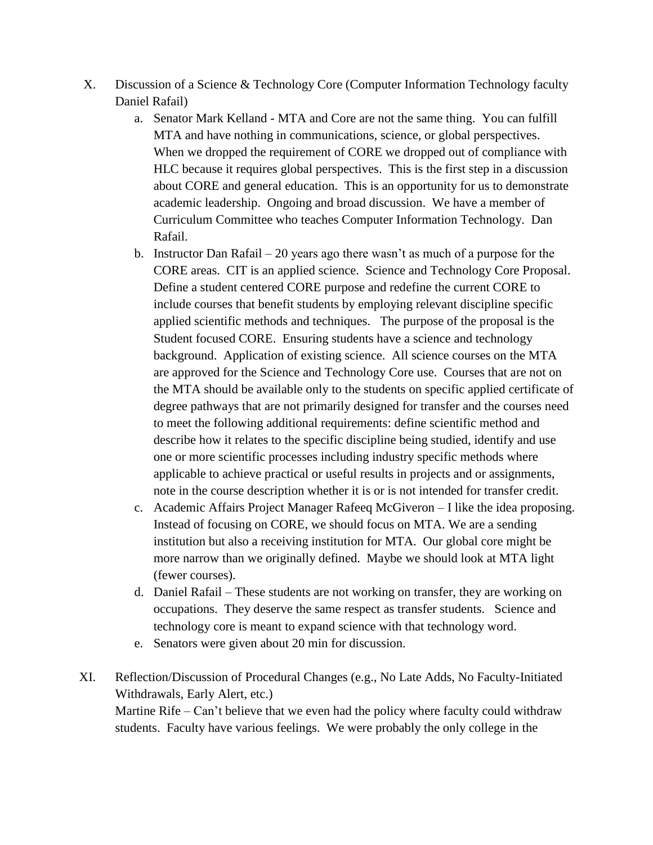- X. Discussion of a Science & Technology Core (Computer Information Technology faculty Daniel Rafail)
	- a. Senator Mark Kelland MTA and Core are not the same thing. You can fulfill MTA and have nothing in communications, science, or global perspectives. When we dropped the requirement of CORE we dropped out of compliance with HLC because it requires global perspectives. This is the first step in a discussion about CORE and general education. This is an opportunity for us to demonstrate academic leadership. Ongoing and broad discussion. We have a member of Curriculum Committee who teaches Computer Information Technology. Dan Rafail.
	- b. Instructor Dan Rafail 20 years ago there wasn't as much of a purpose for the CORE areas. CIT is an applied science. Science and Technology Core Proposal. Define a student centered CORE purpose and redefine the current CORE to include courses that benefit students by employing relevant discipline specific applied scientific methods and techniques. The purpose of the proposal is the Student focused CORE. Ensuring students have a science and technology background. Application of existing science. All science courses on the MTA are approved for the Science and Technology Core use. Courses that are not on the MTA should be available only to the students on specific applied certificate of degree pathways that are not primarily designed for transfer and the courses need to meet the following additional requirements: define scientific method and describe how it relates to the specific discipline being studied, identify and use one or more scientific processes including industry specific methods where applicable to achieve practical or useful results in projects and or assignments, note in the course description whether it is or is not intended for transfer credit.
	- c. Academic Affairs Project Manager Rafeeq McGiveron I like the idea proposing. Instead of focusing on CORE, we should focus on MTA. We are a sending institution but also a receiving institution for MTA. Our global core might be more narrow than we originally defined. Maybe we should look at MTA light (fewer courses).
	- d. Daniel Rafail These students are not working on transfer, they are working on occupations. They deserve the same respect as transfer students. Science and technology core is meant to expand science with that technology word.
	- e. Senators were given about 20 min for discussion.
- XI. Reflection/Discussion of Procedural Changes (e.g., No Late Adds, No Faculty-Initiated Withdrawals, Early Alert, etc.) Martine Rife – Can't believe that we even had the policy where faculty could withdraw students. Faculty have various feelings. We were probably the only college in the